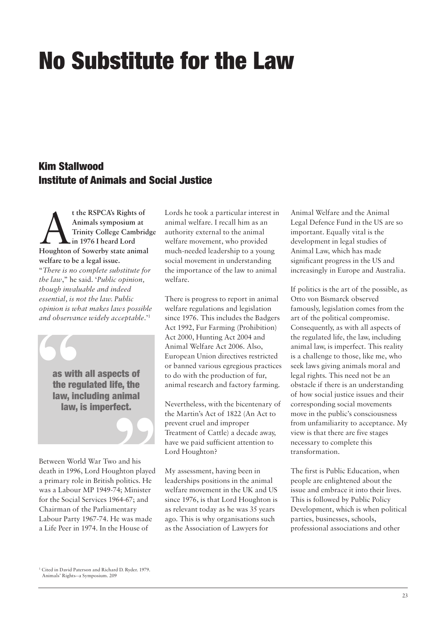## No Substitute for the Law

## Kim Stallwood Institute of Animals and Social Justice

A**<sup>t</sup> the RSPCA's Rights of Houghton of Sowerby state animal Animals symposium at Trinity College Cambridge in 1976 I heard Lord welfare to be a legal issue.** "*There is no complete substitute for the law*," he said. '*Public opinion, though invaluable and indeed essential, is not the law. Public opinion is what makes laws possible and observance widely acceptable*.' 1

as with all aspects of the regulated life, the law, including animal **as with the reg law, in law,** law, is imperfect. **o**<br> **nimal**<br> **ect.**<br> **9** 

Between World War Two and his death in 1996, Lord Houghton played a primary role in British politics. He was a Labour MP 1949-74; Minister for the Social Services 1964-67; and Chairman of the Parliamentary Labour Party 1967-74. He was made a Life Peer in 1974. In the House of

Lords he took a particular interest in animal welfare. I recall him as an authority external to the animal welfare movement, who provided much-needed leadership to a young social movement in understanding the importance of the law to animal welfare.

There is progress to report in animal welfare regulations and legislation since 1976. This includes the Badgers Act 1992, Fur Farming (Prohibition) Act 2000, Hunting Act 2004 and Animal Welfare Act 2006. Also, European Union directives restricted or banned various egregious practices to do with the production of fur, animal research and factory farming.

Nevertheless, with the bicentenary of the Martin's Act of 1822 (An Act to prevent cruel and improper Treatment of Cattle) a decade away, have we paid sufficient attention to Lord Houghton?

My assessment, having been in leaderships positions in the animal welfare movement in the UK and US since 1976, is that Lord Houghton is as relevant today as he was 35 years ago. This is why organisations such as the Association of Lawyers for

Animal Welfare and the Animal Legal Defence Fund in the US are so important. Equally vital is the development in legal studies of Animal Law, which has made significant progress in the US and increasingly in Europe and Australia.

If politics is the art of the possible, as Otto von Bismarck observed famously, legislation comes from the art of the political compromise. Consequently, as with all aspects of the regulated life, the law, including animal law, is imperfect. This reality is a challenge to those, like me, who seek laws giving animals moral and legal rights. This need not be an obstacle if there is an understanding of how social justice issues and their corresponding social movements move in the public's consciousness from unfamiliarity to acceptance. My view is that there are five stages necessary to complete this transformation.

The first is Public Education, when people are enlightened about the issue and embrace it into their lives. This is followed by Public Policy Development, which is when political parties, businesses, schools, professional associations and other

<sup>1</sup> Cited in David Paterson and Richard D. Ryder. 1979. Animals' Rights--a Symposium. 209